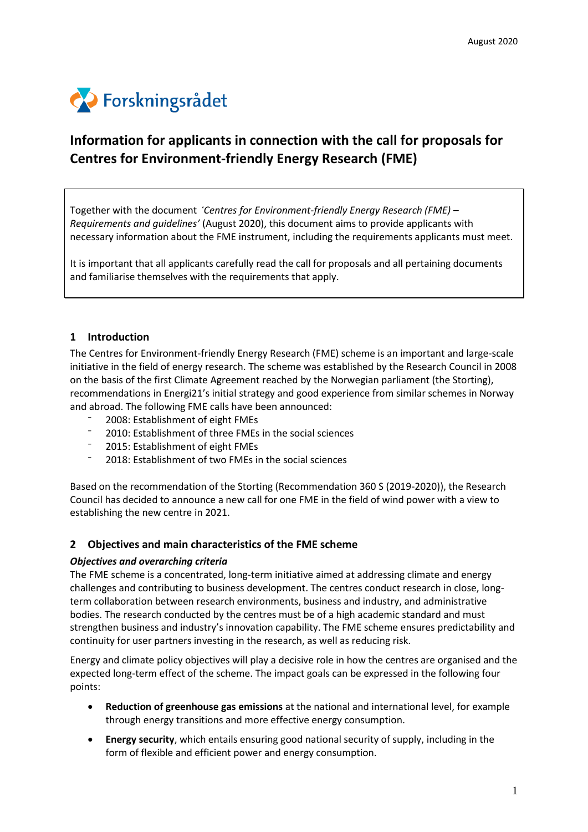

# **Information for applicants in connection with the call for proposals for Centres for Environment-friendly Energy Research (FME)**

Together with the document *'Centres for Environment-friendly Energy Research (FME) – Requirements and guidelines'* (August 2020), this document aims to provide applicants with necessary information about the FME instrument, including the requirements applicants must meet.

It is important that all applicants carefully read the call for proposals and all pertaining documents and familiarise themselves with the requirements that apply.

# **1 Introduction**

The Centres for Environment-friendly Energy Research (FME) scheme is an important and large-scale initiative in the field of energy research. The scheme was established by the Research Council in 2008 on the basis of the first Climate Agreement reached by the Norwegian parliament (the Storting), recommendations in Energi21's initial strategy and good experience from similar schemes in Norway and abroad. The following FME calls have been announced:

- <sup>-</sup> 2008: Establishment of eight FMEs
- ⁻ 2010: Establishment of three FMEs in the social sciences
- ⁻ 2015: Establishment of eight FMEs
- ⁻ 2018: Establishment of two FMEs in the social sciences

Based on the recommendation of the Storting (Recommendation 360 S (2019-2020)), the Research Council has decided to announce a new call for one FME in the field of wind power with a view to establishing the new centre in 2021.

# **2 Objectives and main characteristics of the FME scheme**

### *Objectives and overarching criteria*

The FME scheme is a concentrated, long-term initiative aimed at addressing climate and energy challenges and contributing to business development. The centres conduct research in close, longterm collaboration between research environments, business and industry, and administrative bodies. The research conducted by the centres must be of a high academic standard and must strengthen business and industry's innovation capability. The FME scheme ensures predictability and continuity for user partners investing in the research, as well as reducing risk.

Energy and climate policy objectives will play a decisive role in how the centres are organised and the expected long-term effect of the scheme. The impact goals can be expressed in the following four points:

- **Reduction of greenhouse gas emissions** at the national and international level, for example through energy transitions and more effective energy consumption.
- **Energy security**, which entails ensuring good national security of supply, including in the form of flexible and efficient power and energy consumption.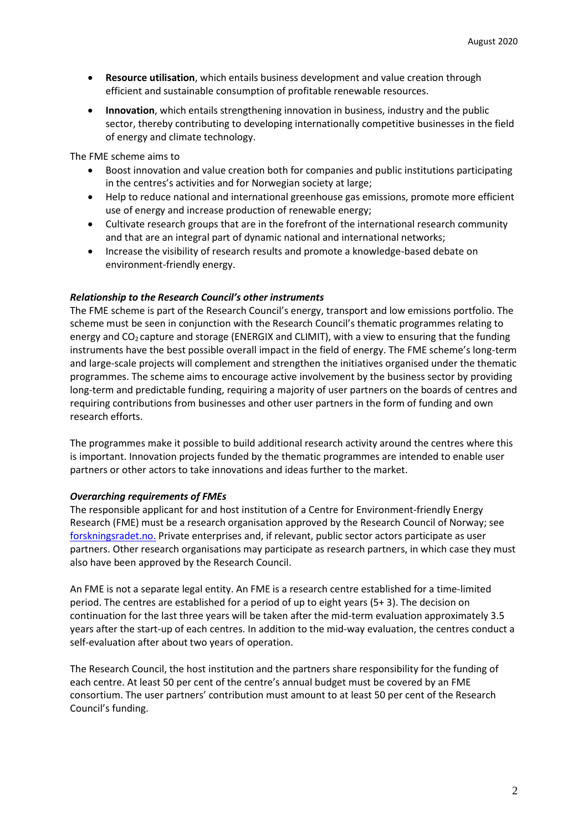- **Resource utilisation**, which entails business development and value creation through efficient and sustainable consumption of profitable renewable resources.
- **Innovation**, which entails strengthening innovation in business, industry and the public sector, thereby contributing to developing internationally competitive businesses in the field of energy and climate technology.

The FME scheme aims to

- Boost innovation and value creation both for companies and public institutions participating in the centres's activities and for Norwegian society at large;
- Help to reduce national and international greenhouse gas emissions, promote more efficient use of energy and increase production of renewable energy;
- Cultivate research groups that are in the forefront of the international research community and that are an integral part of dynamic national and international networks;
- Increase the visibility of research results and promote a knowledge-based debate on environment-friendly energy.

### *Relationship to the Research Council's other instruments*

The FME scheme is part of the Research Council's energy, transport and low emissions portfolio. The scheme must be seen in conjunction with the Research Council's thematic programmes relating to energy and  $CO<sub>2</sub>$  capture and storage (ENERGIX and CLIMIT), with a view to ensuring that the funding instruments have the best possible overall impact in the field of energy. The FME scheme's long-term and large-scale projects will complement and strengthen the initiatives organised under the thematic programmes. The scheme aims to encourage active involvement by the business sector by providing long-term and predictable funding, requiring a majority of user partners on the boards of centres and requiring contributions from businesses and other user partners in the form of funding and own research efforts.

The programmes make it possible to build additional research activity around the centres where this is important. Innovation projects funded by the thematic programmes are intended to enable user partners or other actors to take innovations and ideas further to the market.

### *Overarching requirements of FMEs*

The responsible applicant for and host institution of a Centre for Environment-friendly Energy Research (FME) must be a research organisation approved by the Research Council of Norway; see forskningsradet.no. Private enterprises and, if relevant, public sector actors participate as user partners. Other research organisations may participate as research partners, in which case they must also have been approved by the Research Council.

An FME is not a separate legal entity. An FME is a research centre established for a time-limited period. The centres are established for a period of up to eight years (5+ 3). The decision on continuation for the last three years will be taken after the mid-term evaluation approximately 3.5 years after the start-up of each centres. In addition to the mid-way evaluation, the centres conduct a self-evaluation after about two years of operation.

The Research Council, the host institution and the partners share responsibility for the funding of each centre. At least 50 per cent of the centre's annual budget must be covered by an FME consortium. The user partners' contribution must amount to at least 50 per cent of the Research Council's funding.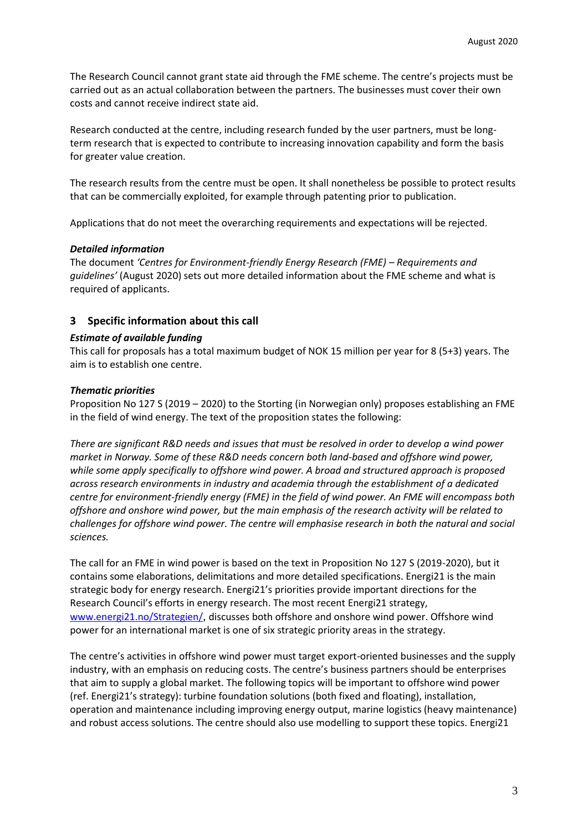The Research Council cannot grant state aid through the FME scheme. The centre's projects must be carried out as an actual collaboration between the partners. The businesses must cover their own costs and cannot receive indirect state aid.

Research conducted at the centre, including research funded by the user partners, must be longterm research that is expected to contribute to increasing innovation capability and form the basis for greater value creation.

The research results from the centre must be open. It shall nonetheless be possible to protect results that can be commercially exploited, for example through patenting prior to publication.

Applications that do not meet the overarching requirements and expectations will be rejected.

# *Detailed information*

The document *'Centres for Environment-friendly Energy Research (FME) – Requirements and guidelines'* (August 2020) sets out more detailed information about the FME scheme and what is required of applicants.

# **3 Specific information about this call**

# *Estimate of available funding*

This call for proposals has a total maximum budget of NOK 15 million per year for 8 (5+3) years. The aim is to establish one centre.

# *Thematic priorities*

Proposition No 127 S (2019 – 2020) to the Storting (in Norwegian only) proposes establishing an FME in the field of wind energy. The text of the proposition states the following:

*There are significant R&D needs and issues that must be resolved in order to develop a wind power market in Norway. Some of these R&D needs concern both land-based and offshore wind power, while some apply specifically to offshore wind power. A broad and structured approach is proposed across research environments in industry and academia through the establishment of a dedicated centre for environment-friendly energy (FME) in the field of wind power. An FME will encompass both offshore and onshore wind power, but the main emphasis of the research activity will be related to challenges for offshore wind power. The centre will emphasise research in both the natural and social sciences.* 

The call for an FME in wind power is based on the text in Proposition No 127 S (2019-2020), but it contains some elaborations, delimitations and more detailed specifications. Energi21 is the main strategic body for energy research. Energi21's priorities provide important directions for the Research Council's efforts in energy research. The most recent Energi21 strategy, [www.energi21.no/Strategien/](http://www.energi21.no/Strategien/), discusses both offshore and onshore wind power. Offshore wind power for an international market is one of six strategic priority areas in the strategy.

The centre's activities in offshore wind power must target export-oriented businesses and the supply industry, with an emphasis on reducing costs. The centre's business partners should be enterprises that aim to supply a global market. The following topics will be important to offshore wind power (ref. Energi21's strategy): turbine foundation solutions (both fixed and floating), installation, operation and maintenance including improving energy output, marine logistics (heavy maintenance) and robust access solutions. The centre should also use modelling to support these topics. Energi21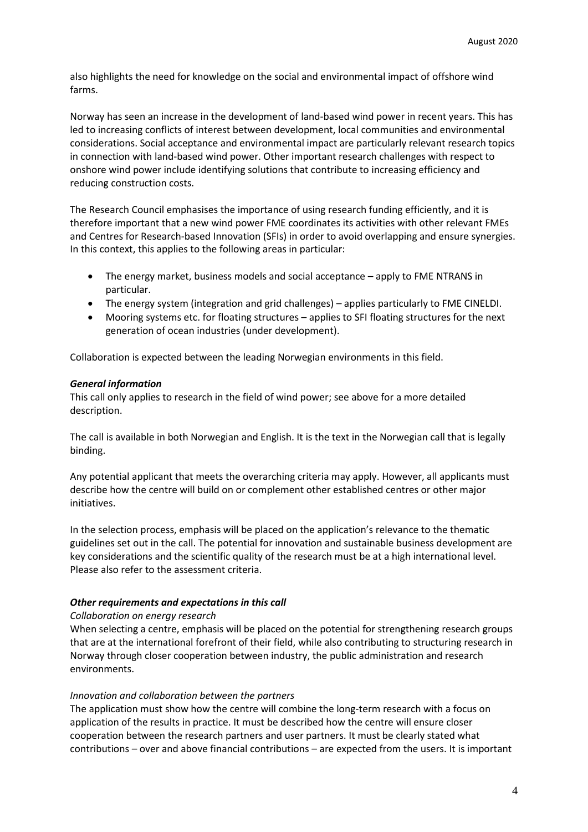also highlights the need for knowledge on the social and environmental impact of offshore wind farms.

Norway has seen an increase in the development of land-based wind power in recent years. This has led to increasing conflicts of interest between development, local communities and environmental considerations. Social acceptance and environmental impact are particularly relevant research topics in connection with land-based wind power. Other important research challenges with respect to onshore wind power include identifying solutions that contribute to increasing efficiency and reducing construction costs.

The Research Council emphasises the importance of using research funding efficiently, and it is therefore important that a new wind power FME coordinates its activities with other relevant FMEs and Centres for Research-based Innovation (SFIs) in order to avoid overlapping and ensure synergies. In this context, this applies to the following areas in particular:

- The energy market, business models and social acceptance apply to FME NTRANS in particular.
- The energy system (integration and grid challenges) applies particularly to FME CINELDI.
- Mooring systems etc. for floating structures applies to SFI floating structures for the next generation of ocean industries (under development).

Collaboration is expected between the leading Norwegian environments in this field.

### *General information*

This call only applies to research in the field of wind power; see above for a more detailed description.

The call is available in both Norwegian and English. It is the text in the Norwegian call that is legally binding.

Any potential applicant that meets the overarching criteria may apply. However, all applicants must describe how the centre will build on or complement other established centres or other major initiatives.

In the selection process, emphasis will be placed on the application's relevance to the thematic guidelines set out in the call. The potential for innovation and sustainable business development are key considerations and the scientific quality of the research must be at a high international level. Please also refer to the assessment criteria.

### *Other requirements and expectations in this call*

### *Collaboration on energy research*

When selecting a centre, emphasis will be placed on the potential for strengthening research groups that are at the international forefront of their field, while also contributing to structuring research in Norway through closer cooperation between industry, the public administration and research environments.

### *Innovation and collaboration between the partners*

The application must show how the centre will combine the long-term research with a focus on application of the results in practice. It must be described how the centre will ensure closer cooperation between the research partners and user partners. It must be clearly stated what contributions – over and above financial contributions – are expected from the users. It is important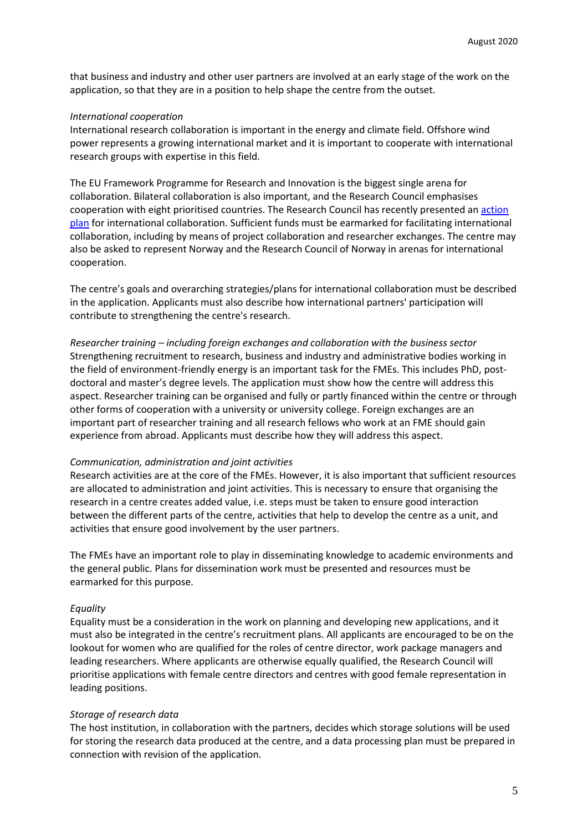that business and industry and other user partners are involved at an early stage of the work on the application, so that they are in a position to help shape the centre from the outset.

#### *International cooperation*

International research collaboration is important in the energy and climate field. Offshore wind power represents a growing international market and it is important to cooperate with international research groups with expertise in this field.

The EU Framework Programme for Research and Innovation is the biggest single arena for collaboration. Bilateral collaboration is also important, and the Research Council emphasises cooperation with eight prioritised countries. The Research Council has recently presented an [action](https://www.forskningsradet.no/siteassets/internasjonalt-innhold/nfr_handlingsplan_int_orig.pdf)  [plan](https://www.forskningsradet.no/siteassets/internasjonalt-innhold/nfr_handlingsplan_int_orig.pdf) for international collaboration. Sufficient funds must be earmarked for facilitating international collaboration, including by means of project collaboration and researcher exchanges. The centre may also be asked to represent Norway and the Research Council of Norway in arenas for international cooperation.

The centre's goals and overarching strategies/plans for international collaboration must be described in the application. Applicants must also describe how international partners' participation will contribute to strengthening the centre's research.

*Researcher training – including foreign exchanges and collaboration with the business sector*  Strengthening recruitment to research, business and industry and administrative bodies working in the field of environment-friendly energy is an important task for the FMEs. This includes PhD, postdoctoral and master's degree levels. The application must show how the centre will address this aspect. Researcher training can be organised and fully or partly financed within the centre or through other forms of cooperation with a university or university college. Foreign exchanges are an important part of researcher training and all research fellows who work at an FME should gain experience from abroad. Applicants must describe how they will address this aspect.

#### *Communication, administration and joint activities*

Research activities are at the core of the FMEs. However, it is also important that sufficient resources are allocated to administration and joint activities. This is necessary to ensure that organising the research in a centre creates added value, i.e. steps must be taken to ensure good interaction between the different parts of the centre, activities that help to develop the centre as a unit, and activities that ensure good involvement by the user partners.

The FMEs have an important role to play in disseminating knowledge to academic environments and the general public. Plans for dissemination work must be presented and resources must be earmarked for this purpose.

#### *Equality*

Equality must be a consideration in the work on planning and developing new applications, and it must also be integrated in the centre's recruitment plans. All applicants are encouraged to be on the lookout for women who are qualified for the roles of centre director, work package managers and leading researchers. Where applicants are otherwise equally qualified, the Research Council will prioritise applications with female centre directors and centres with good female representation in leading positions.

#### *Storage of research data*

The host institution, in collaboration with the partners, decides which storage solutions will be used for storing the research data produced at the centre, and a data processing plan must be prepared in connection with revision of the application.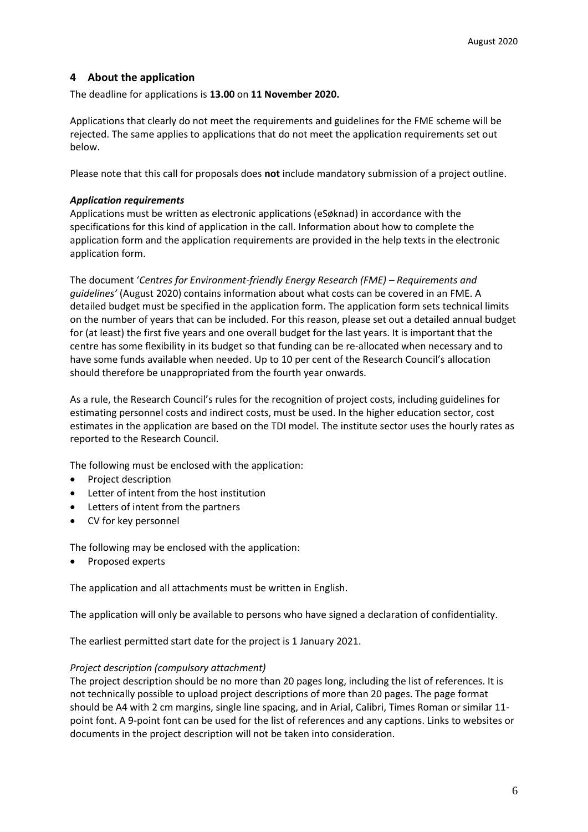# **4 About the application**

The deadline for applications is **13.00** on **11 November 2020.**

Applications that clearly do not meet the requirements and guidelines for the FME scheme will be rejected. The same applies to applications that do not meet the application requirements set out below.

Please note that this call for proposals does **not** include mandatory submission of a project outline.

# *Application requirements*

Applications must be written as electronic applications (eSøknad) in accordance with the specifications for this kind of application in the call. Information about how to complete the application form and the application requirements are provided in the help texts in the electronic application form.

The document '*Centres for Environment-friendly Energy Research (FME) – Requirements and guidelines'* (August 2020) contains information about what costs can be covered in an FME. A detailed budget must be specified in the application form. The application form sets technical limits on the number of years that can be included. For this reason, please set out a detailed annual budget for (at least) the first five years and one overall budget for the last years. It is important that the centre has some flexibility in its budget so that funding can be re-allocated when necessary and to have some funds available when needed. Up to 10 per cent of the Research Council's allocation should therefore be unappropriated from the fourth year onwards.

As a rule, the Research Council's rules for the recognition of project costs, including guidelines for estimating personnel costs and indirect costs, must be used. In the higher education sector, cost estimates in the application are based on the TDI model. The institute sector uses the hourly rates as reported to the Research Council.

The following must be enclosed with the application:

- Project description
- Letter of intent from the host institution
- Letters of intent from the partners
- CV for key personnel

The following may be enclosed with the application:

• Proposed experts

The application and all attachments must be written in English.

The application will only be available to persons who have signed a declaration of confidentiality.

The earliest permitted start date for the project is 1 January 2021.

### *Project description (compulsory attachment)*

The project description should be no more than 20 pages long, including the list of references. It is not technically possible to upload project descriptions of more than 20 pages. The page format should be A4 with 2 cm margins, single line spacing, and in Arial, Calibri, Times Roman or similar 11 point font. A 9-point font can be used for the list of references and any captions. Links to websites or documents in the project description will not be taken into consideration.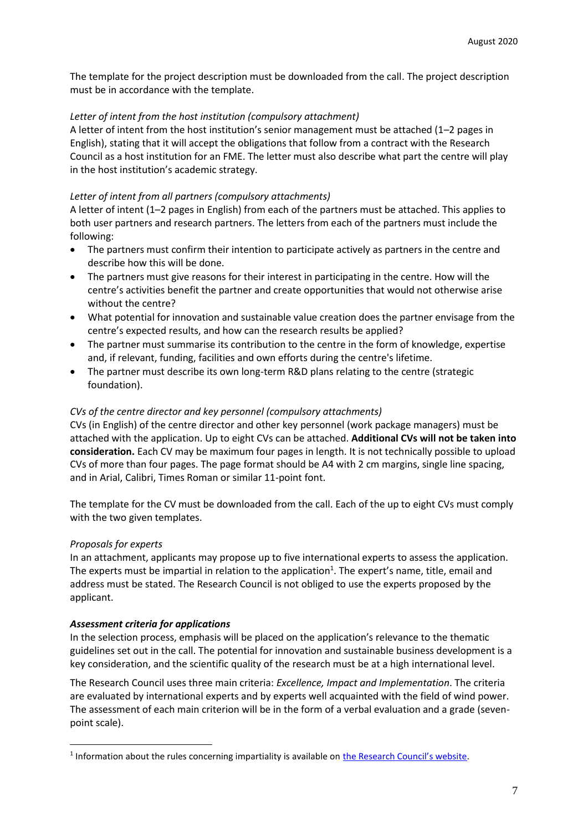The template for the project description must be downloaded from the call. The project description must be in accordance with the template.

# *Letter of intent from the host institution (compulsory attachment)*

A letter of intent from the host institution's senior management must be attached (1–2 pages in English), stating that it will accept the obligations that follow from a contract with the Research Council as a host institution for an FME. The letter must also describe what part the centre will play in the host institution's academic strategy.

# *Letter of intent from all partners (compulsory attachments)*

A letter of intent (1–2 pages in English) from each of the partners must be attached. This applies to both user partners and research partners. The letters from each of the partners must include the following:

- The partners must confirm their intention to participate actively as partners in the centre and describe how this will be done.
- The partners must give reasons for their interest in participating in the centre. How will the centre's activities benefit the partner and create opportunities that would not otherwise arise without the centre?
- What potential for innovation and sustainable value creation does the partner envisage from the centre's expected results, and how can the research results be applied?
- The partner must summarise its contribution to the centre in the form of knowledge, expertise and, if relevant, funding, facilities and own efforts during the centre's lifetime.
- The partner must describe its own long-term R&D plans relating to the centre (strategic foundation).

### *CVs of the centre director and key personnel (compulsory attachments)*

CVs (in English) of the centre director and other key personnel (work package managers) must be attached with the application. Up to eight CVs can be attached. **Additional CVs will not be taken into consideration.** Each CV may be maximum four pages in length. It is not technically possible to upload CVs of more than four pages. The page format should be A4 with 2 cm margins, single line spacing, and in Arial, Calibri, Times Roman or similar 11-point font.

The template for the CV must be downloaded from the call. Each of the up to eight CVs must comply with the two given templates.

### *Proposals for experts*

In an attachment, applicants may propose up to five international experts to assess the application. The experts must be impartial in relation to the application<sup>1</sup>. The expert's name, title, email and address must be stated. The Research Council is not obliged to use the experts proposed by the applicant.

### *Assessment criteria for applications*

In the selection process, emphasis will be placed on the application's relevance to the thematic guidelines set out in the call. The potential for innovation and sustainable business development is a key consideration, and the scientific quality of the research must be at a high international level.

The Research Council uses three main criteria: *Excellence, Impact and Implementation*. The criteria are evaluated by international experts and by experts well acquainted with the field of wind power. The assessment of each main criterion will be in the form of a verbal evaluation and a grade (sevenpoint scale).

<sup>&</sup>lt;sup>1</sup> Information about the rules concerning impartiality is available on *[the Research Council's website](https://www.forskningsradet.no/behandling-av-soknad/slik-behandler-vi-soknader/habilitet-i-saksbehandlingen/)*.